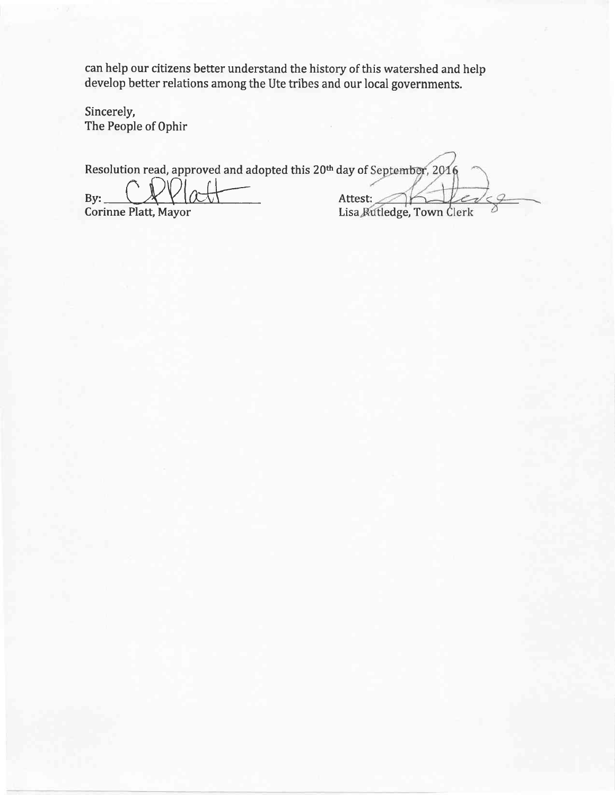can help our citizens better understand the history of this watershed and help develop better relations among the Ute tribes and our local governments.

Sincerely, The People of Ophir

Resolution read, approved and adopted this 20<sup>th</sup> day of September, 2016

By: CRVatt

Attest: Lisa Rutledge, Town Clerk